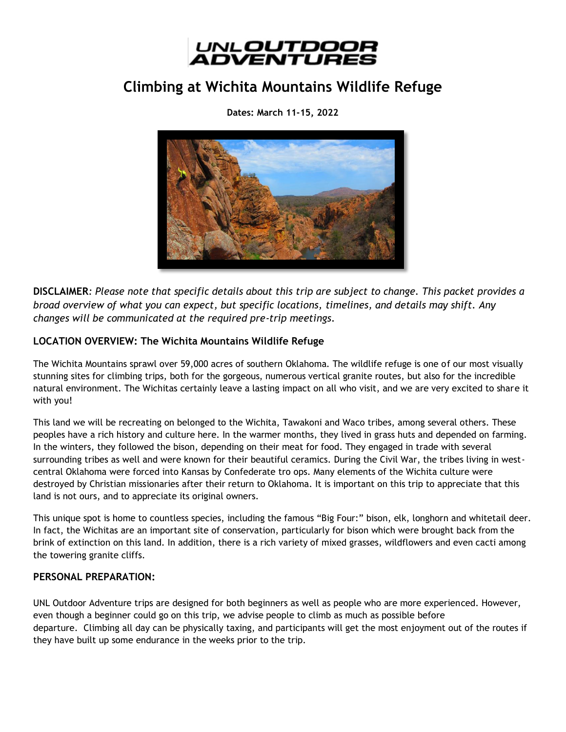

# **Climbing at Wichita Mountains Wildlife Refuge**

**Dates: March 11-15, 2022**



**DISCLAIMER***: Please note that specific details about this trip are subject to change. This packet provides a broad overview of what you can expect, but specific locations, timelines, and details may shift. Any changes will be communicated at the required pre-trip meetings.*

# **LOCATION OVERVIEW: The Wichita Mountains Wildlife Refuge**

The Wichita Mountains sprawl over 59,000 acres of southern Oklahoma. The wildlife refuge is one of our most visually stunning sites for climbing trips, both for the gorgeous, numerous vertical granite routes, but also for the incredible natural environment. The Wichitas certainly leave a lasting impact on all who visit, and we are very excited to share it with you!

This land we will be recreating on belonged to the Wichita, Tawakoni and Waco tribes, among several others. These peoples have a rich history and culture here. In the warmer months, they lived in grass huts and depended on farming. In the winters, they followed the bison, depending on their meat for food. They engaged in trade with several surrounding tribes as well and were known for their beautiful ceramics. During the Civil War, the tribes living in westcentral Oklahoma were forced into Kansas by Confederate tro ops. Many elements of the Wichita culture were destroyed by Christian missionaries after their return to Oklahoma. It is important on this trip to appreciate that this land is not ours, and to appreciate its original owners.

This unique spot is home to countless species, including the famous "Big Four:" bison, elk, longhorn and whitetail deer. In fact, the Wichitas are an important site of conservation, particularly for bison which were brought back from the brink of extinction on this land. In addition, there is a rich variety of mixed grasses, wildflowers and even cacti among the towering granite cliffs.

# **PERSONAL PREPARATION:**

UNL Outdoor Adventure trips are designed for both beginners as well as people who are more experienced. However, even though a beginner could go on this trip, we advise people to climb as much as possible before departure. Climbing all day can be physically taxing, and participants will get the most enjoyment out of the routes if they have built up some endurance in the weeks prior to the trip.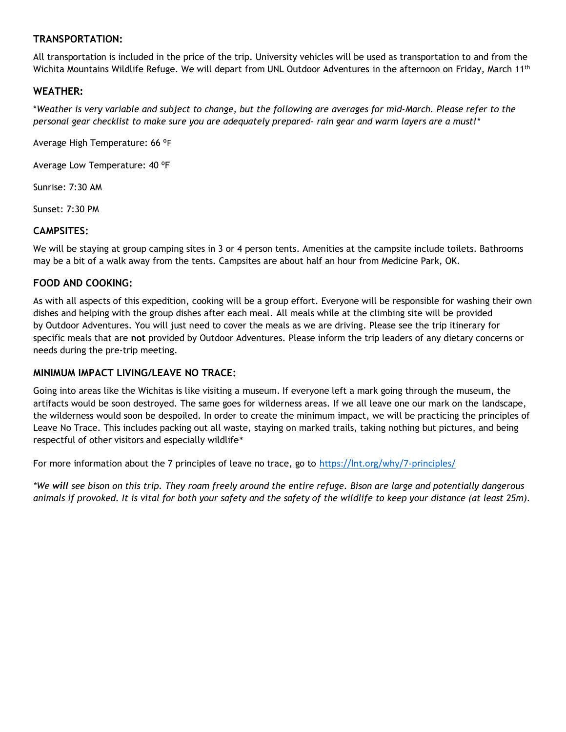## **TRANSPORTATION:**

All transportation is included in the price of the trip. University vehicles will be used as transportation to and from the Wichita Mountains Wildlife Refuge. We will depart from UNL Outdoor Adventures in the afternoon on Friday, March 11<sup>th</sup>

## **WEATHER:**

\**Weather is very variable and subject to change, but the following are averages for mid-March. Please refer to the personal gear checklist to make sure you are adequately prepared- rain gear and warm layers are a must!\**

Average High Temperature: 66 °F

Average Low Temperature: 40 °F

Sunrise: 7:30 AM

Sunset: 7:30 PM

#### **CAMPSITES:**

We will be staying at group camping sites in 3 or 4 person tents. Amenities at the campsite include toilets. Bathrooms may be a bit of a walk away from the tents. Campsites are about half an hour from Medicine Park, OK.

#### **FOOD AND COOKING:**

As with all aspects of this expedition, cooking will be a group effort. Everyone will be responsible for washing their own dishes and helping with the group dishes after each meal. All meals while at the climbing site will be provided by Outdoor Adventures. You will just need to cover the meals as we are driving. Please see the trip itinerary for specific meals that are **not** provided by Outdoor Adventures. Please inform the trip leaders of any dietary concerns or needs during the pre-trip meeting.

#### **MINIMUM IMPACT LIVING/LEAVE NO TRACE:**

Going into areas like the Wichitas is like visiting a museum. If everyone left a mark going through the museum, the artifacts would be soon destroyed. The same goes for wilderness areas. If we all leave one our mark on the landscape, the wilderness would soon be despoiled. In order to create the minimum impact, we will be practicing the principles of Leave No Trace. This includes packing out all waste, staying on marked trails, taking nothing but pictures, and being respectful of other visitors and especially wildlife\*

For more information about the 7 principles of leave no trace, go to <https://lnt.org/why/7-principles/>

*\*We will see bison on this trip. They roam freely around the entire refuge. Bison are large and potentially dangerous animals if provoked. It is vital for both your safety and the safety of the wildlife to keep your distance (at least 25m).*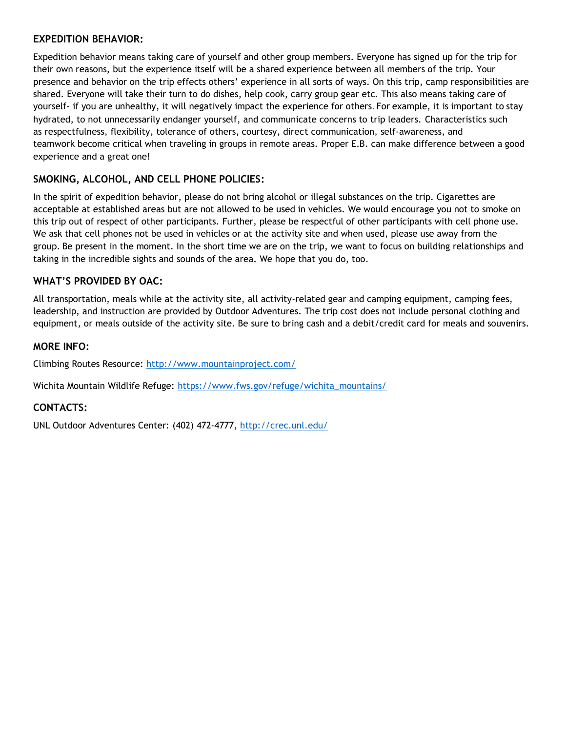#### **EXPEDITION BEHAVIOR:**

Expedition behavior means taking care of yourself and other group members. Everyone has signed up for the trip for their own reasons, but the experience itself will be a shared experience between all members of the trip. Your presence and behavior on the trip effects others' experience in all sorts of ways. On this trip, camp responsibilities are shared. Everyone will take their turn to do dishes, help cook, carry group gear etc. This also means taking care of yourself- if you are unhealthy, it will negatively impact the experience for others. For example, it is important to stay hydrated, to not unnecessarily endanger yourself, and communicate concerns to trip leaders. Characteristics such as respectfulness, flexibility, tolerance of others, courtesy, direct communication, self-awareness, and teamwork become critical when traveling in groups in remote areas. Proper E.B. can make difference between a good experience and a great one!

# **SMOKING, ALCOHOL, AND CELL PHONE POLICIES:**

In the spirit of expedition behavior, please do not bring alcohol or illegal substances on the trip. Cigarettes are acceptable at established areas but are not allowed to be used in vehicles. We would encourage you not to smoke on this trip out of respect of other participants. Further, please be respectful of other participants with cell phone use. We ask that cell phones not be used in vehicles or at the activity site and when used, please use away from the group. Be present in the moment. In the short time we are on the trip, we want to focus on building relationships and taking in the incredible sights and sounds of the area. We hope that you do, too.

# **WHAT'S PROVIDED BY OAC:**

All transportation, meals while at the activity site, all activity-related gear and camping equipment, camping fees, leadership, and instruction are provided by Outdoor Adventures. The trip cost does not include personal clothing and equipment, or meals outside of the activity site. Be sure to bring cash and a debit/credit card for meals and souvenirs.

#### **MORE INFO:**

Climbing Routes Resource:<http://www.mountainproject.com/>

Wichita Mountain Wildlife Refuge: [https://www.fws.gov/refuge/wichita\\_mountains/](https://www.fws.gov/refuge/wichita_mountains/)

#### **CONTACTS:**

UNL Outdoor Adventures Center: (402) 472-4777,<http://crec.unl.edu/>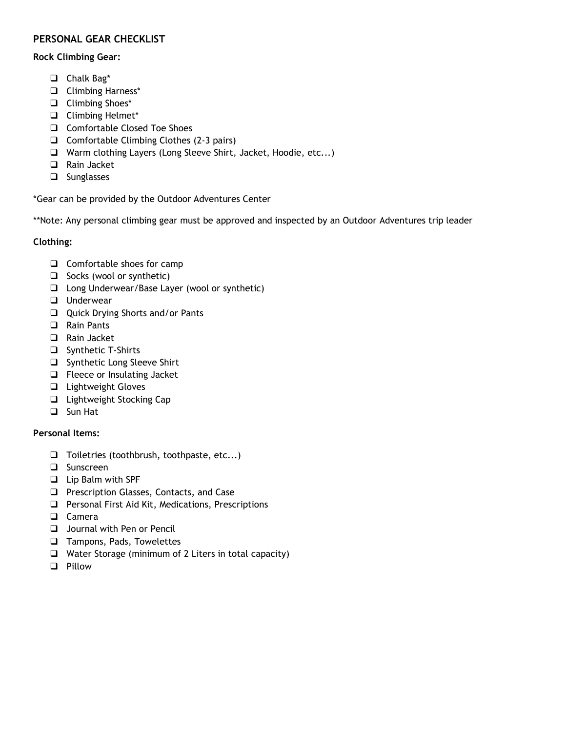# **PERSONAL GEAR CHECKLIST**

#### **Rock Climbing Gear:**

- ❑ Chalk Bag\*
- ❑ Climbing Harness\*
- ❑ Climbing Shoes\*
- ❑ Climbing Helmet\*
- ❑ Comfortable Closed Toe Shoes
- ❑ Comfortable Climbing Clothes (2-3 pairs)
- ❑ Warm clothing Layers (Long Sleeve Shirt, Jacket, Hoodie, etc...)
- ❑ Rain Jacket
- ❑ Sunglasses

\*Gear can be provided by the Outdoor Adventures Center

\*\*Note: Any personal climbing gear must be approved and inspected by an Outdoor Adventures trip leader

# **Clothing:**

- ❑ Comfortable shoes for camp
- ❑ Socks (wool or synthetic)
- ❑ Long Underwear/Base Layer (wool or synthetic)
- ❑ Underwear
- ❑ Quick Drying Shorts and/or Pants
- ❑ Rain Pants
- ❑ Rain Jacket
- ❑ Synthetic T-Shirts
- ❑ Synthetic Long Sleeve Shirt
- ❑ Fleece or Insulating Jacket
- ❑ Lightweight Gloves
- ❑ Lightweight Stocking Cap
- ❑ Sun Hat

# **Personal Items:**

- ❑ Toiletries (toothbrush, toothpaste, etc...)
- ❑ Sunscreen
- ❑ Lip Balm with SPF
- ❑ Prescription Glasses, Contacts, and Case
- ❑ Personal First Aid Kit, Medications, Prescriptions
- ❑ Camera
- ❑ Journal with Pen or Pencil
- ❑ Tampons, Pads, Towelettes
- ❑ Water Storage (minimum of 2 Liters in total capacity)
- ❑ Pillow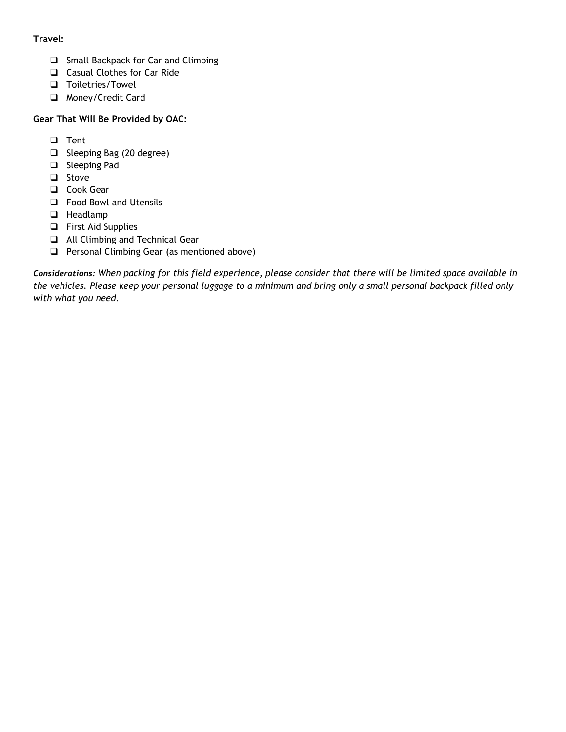# **Travel:**

- ❑ Small Backpack for Car and Climbing
- ❑ Casual Clothes for Car Ride
- ❑ Toiletries/Towel
- ❑ Money/Credit Card

# **Gear That Will Be Provided by OAC:**

- ❑ Tent
- ❑ Sleeping Bag (20 degree)
- ❑ Sleeping Pad
- ❑ Stove
- ❑ Cook Gear
- ❑ Food Bowl and Utensils
- ❑ Headlamp
- ❑ First Aid Supplies
- ❑ All Climbing and Technical Gear
- ❑ Personal Climbing Gear (as mentioned above)

*Considerations: When packing for this field experience, please consider that there will be limited space available in the vehicles. Please keep your personal luggage to a minimum and bring only a small personal backpack filled only with what you need.*